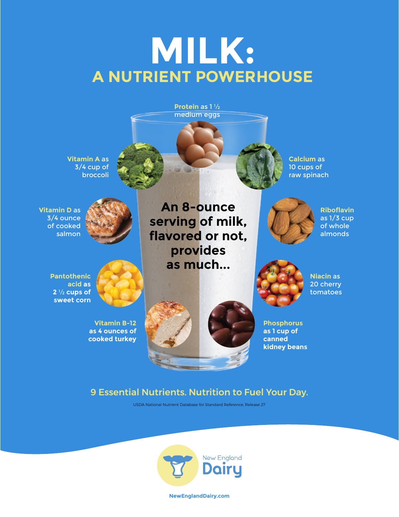# **MILK: A NUTRIENT POWERHOUSE**



#### 9 Essential Nutrients. Nutrition to Fuel Your Day.

USDA National Nutrient Database for Standard Reference, Release 27



**NewEnglandDairy.com**